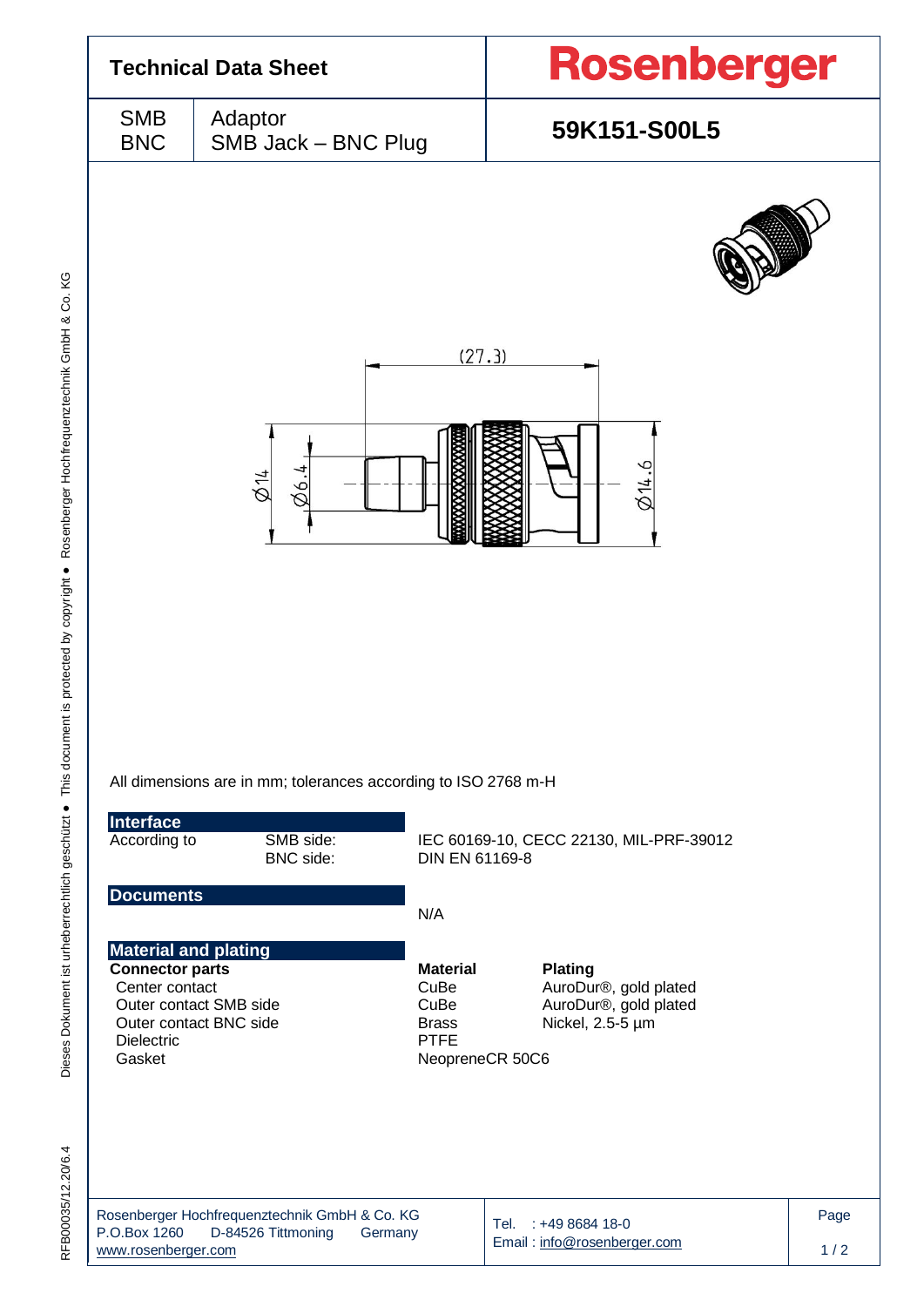